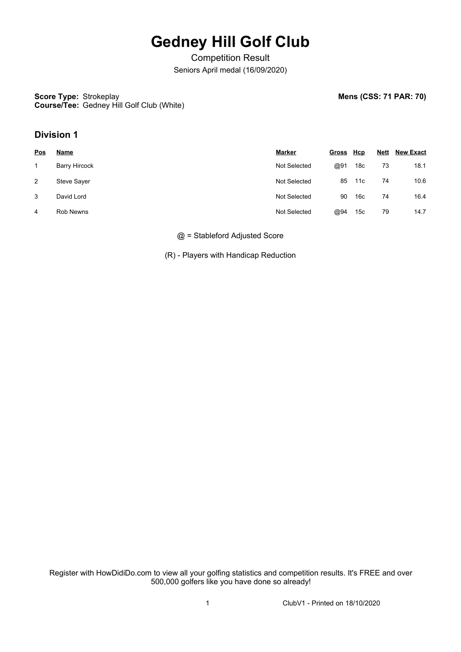# **Gedney Hill Golf Club**

Competition Result Seniors April medal (16/09/2020)

**Score Type: Strokeplay Course/Tee:** Gedney Hill Golf Club (White) **Mens (CSS: 71 PAR: 70)** 

## **Division 1**

| <u>Pos</u> | <u>Name</u>        | Marker       | Gross Hcp |                 | <b>Nett</b> | <b>New Exact</b> |  |
|------------|--------------------|--------------|-----------|-----------------|-------------|------------------|--|
|            | Barry Hircock      | Not Selected | @91       | 18c             | 73          | 18.1             |  |
| 2          | <b>Steve Sayer</b> | Not Selected | 85        | 11c             | 74          | 10.6             |  |
| 3          | David Lord         | Not Selected | 90        | 16с             | 74          | 16.4             |  |
| 4          | <b>Rob Newns</b>   | Not Selected | @94       | 15 <sub>c</sub> | 79          | 14.7             |  |

@ = Stableford Adjusted Score

(R) - Players with Handicap Reduction

Register with HowDidiDo.com to view all your golfing statistics and competition results. It's FREE and over 500,000 golfers like you have done so already!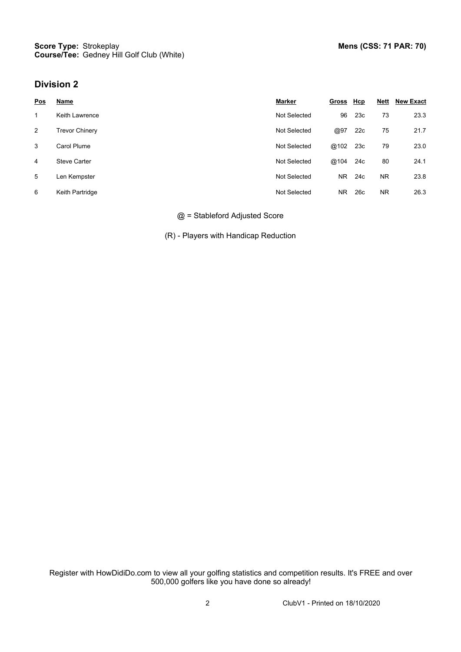### **Division 2**

| <u>Pos</u> | Name                  | <b>Marker</b> | <u>Gross</u> | <u>Hcp</u> | <b>Nett</b> | <b>New Exact</b> |
|------------|-----------------------|---------------|--------------|------------|-------------|------------------|
| 1          | <b>Keith Lawrence</b> | Not Selected  | 96           | 23c        | 73          | 23.3             |
| 2          | <b>Trevor Chinery</b> | Not Selected  | @97          | 22c        | 75          | 21.7             |
| 3          | Carol Plume           | Not Selected  | @102         | 23c        | 79          | 23.0             |
| 4          | <b>Steve Carter</b>   | Not Selected  | @104         | 24c        | 80          | 24.1             |
| 5          | Len Kempster          | Not Selected  | <b>NR</b>    | 24c        | <b>NR</b>   | 23.8             |
| 6          | Keith Partridge       | Not Selected  | <b>NR</b>    | 26c        | NR.         | 26.3             |

#### @ = Stableford Adjusted Score

(R) - Players with Handicap Reduction

Register with HowDidiDo.com to view all your golfing statistics and competition results. It's FREE and over 500,000 golfers like you have done so already!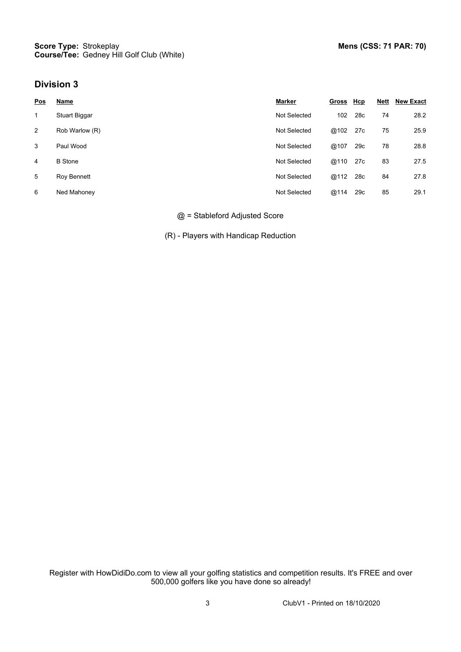### **Division 3**

| <u>Pos</u> | Name           | Marker       | Gross Hcp |                 | <u>Nett</u> | <b>New Exact</b> |
|------------|----------------|--------------|-----------|-----------------|-------------|------------------|
| 1          | Stuart Biggar  | Not Selected | 102       | 28 <sub>c</sub> | 74          | 28.2             |
| 2          | Rob Warlow (R) | Not Selected | @102      | 27c             | 75          | 25.9             |
| 3          | Paul Wood      | Not Selected | @107      | 29c             | 78          | 28.8             |
| 4          | <b>B</b> Stone | Not Selected | @110      | 27c             | 83          | 27.5             |
| 5          | Roy Bennett    | Not Selected | @112      | 28c             | 84          | 27.8             |
| 6          | Ned Mahoney    | Not Selected | @114      | 29c             | 85          | 29.1             |

#### @ = Stableford Adjusted Score

(R) - Players with Handicap Reduction

Register with HowDidiDo.com to view all your golfing statistics and competition results. It's FREE and over 500,000 golfers like you have done so already!